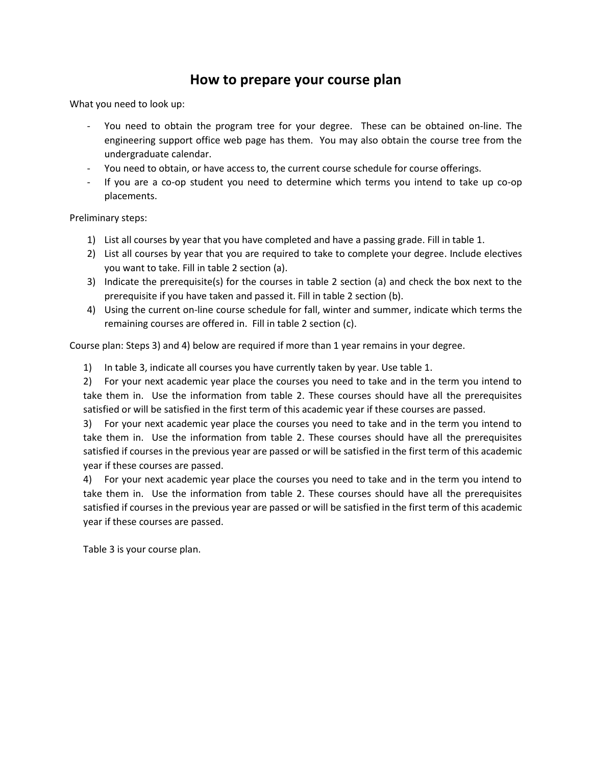## **How to prepare your course plan**

What you need to look up:

- You need to obtain the program tree for your degree. These can be obtained on-line. The engineering support office web page has them. You may also obtain the course tree from the undergraduate calendar.
- You need to obtain, or have access to, the current course schedule for course offerings.
- If you are a co-op student you need to determine which terms you intend to take up co-op placements.

Preliminary steps:

- 1) List all courses by year that you have completed and have a passing grade. Fill in table 1.
- 2) List all courses by year that you are required to take to complete your degree. Include electives you want to take. Fill in table 2 section (a).
- 3) Indicate the prerequisite(s) for the courses in table 2 section (a) and check the box next to the prerequisite if you have taken and passed it. Fill in table 2 section (b).
- 4) Using the current on-line course schedule for fall, winter and summer, indicate which terms the remaining courses are offered in. Fill in table 2 section (c).

Course plan: Steps 3) and 4) below are required if more than 1 year remains in your degree.

1) In table 3, indicate all courses you have currently taken by year. Use table 1.

2) For your next academic year place the courses you need to take and in the term you intend to take them in. Use the information from table 2. These courses should have all the prerequisites satisfied or will be satisfied in the first term of this academic year if these courses are passed.

3) For your next academic year place the courses you need to take and in the term you intend to take them in. Use the information from table 2. These courses should have all the prerequisites satisfied if courses in the previous year are passed or will be satisfied in the first term of this academic year if these courses are passed.

4) For your next academic year place the courses you need to take and in the term you intend to take them in. Use the information from table 2. These courses should have all the prerequisites satisfied if courses in the previous year are passed or will be satisfied in the first term of this academic year if these courses are passed.

Table 3 is your course plan.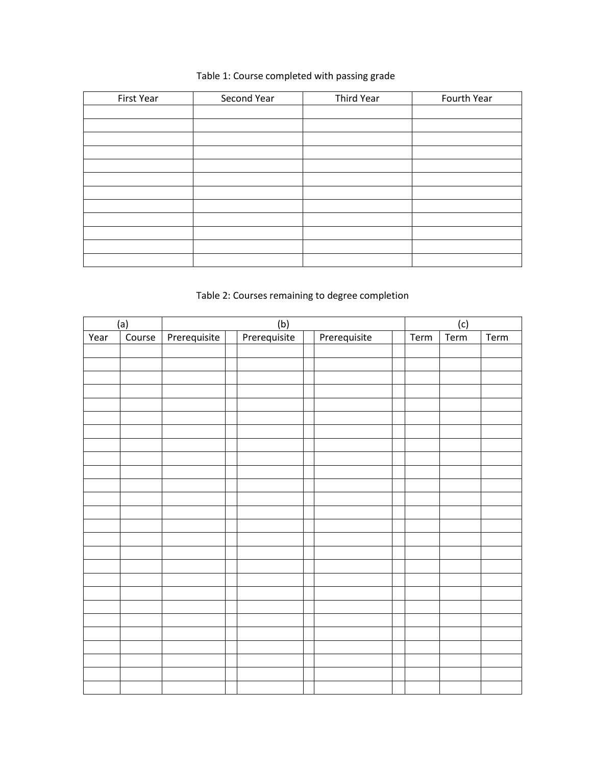## Table 1: Course completed with passing grade

| First Year | Second Year | Third Year | Fourth Year |
|------------|-------------|------------|-------------|
|            |             |            |             |
|            |             |            |             |
|            |             |            |             |
|            |             |            |             |
|            |             |            |             |
|            |             |            |             |
|            |             |            |             |
|            |             |            |             |
|            |             |            |             |
|            |             |            |             |
|            |             |            |             |
|            |             |            |             |

## Table 2: Courses remaining to degree completion

|      | (a)    |              | (b)          |              |      |             |      |
|------|--------|--------------|--------------|--------------|------|-------------|------|
| Year | Course | Prerequisite | Prerequisite | Prerequisite | Term | (c)<br>Term | Term |
|      |        |              |              |              |      |             |      |
|      |        |              |              |              |      |             |      |
|      |        |              |              |              |      |             |      |
|      |        |              |              |              |      |             |      |
|      |        |              |              |              |      |             |      |
|      |        |              |              |              |      |             |      |
|      |        |              |              |              |      |             |      |
|      |        |              |              |              |      |             |      |
|      |        |              |              |              |      |             |      |
|      |        |              |              |              |      |             |      |
|      |        |              |              |              |      |             |      |
|      |        |              |              |              |      |             |      |
|      |        |              |              |              |      |             |      |
|      |        |              |              |              |      |             |      |
|      |        |              |              |              |      |             |      |
|      |        |              |              |              |      |             |      |
|      |        |              |              |              |      |             |      |
|      |        |              |              |              |      |             |      |
|      |        |              |              |              |      |             |      |
|      |        |              |              |              |      |             |      |
|      |        |              |              |              |      |             |      |
|      |        |              |              |              |      |             |      |
|      |        |              |              |              |      |             |      |
|      |        |              |              |              |      |             |      |
|      |        |              |              |              |      |             |      |
|      |        |              |              |              |      |             |      |